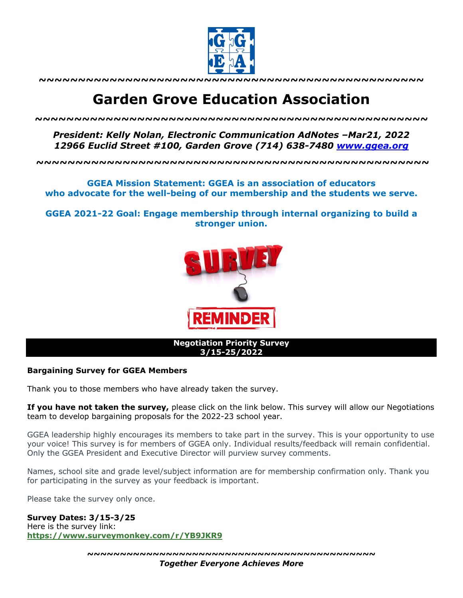

**~~~~~~~~~~~~~~~~~~~~~~~~~~~~~~~~~~~~~~~~~~~~~~~~~**

# **Garden Grove Education Association**

*~~~~~~~~~~~~~~~~~~~~~~~~~~~~~~~~~~~~~~~~~~~~~~~~~~*

*President: Kelly Nolan, Electronic Communication AdNotes –Mar21, 2022 12966 Euclid Street #100, Garden Grove (714) 638-7480 www.ggea.org*

**~~~~~~~~~~~~~~~~~~~~~~~~~~~~~~~~~~~~~~~~~~~~~~~~~~**

## **GGEA Mission Statement: GGEA is an association of educators who advocate for the well-being of our membership and the students we serve.**

**GGEA 2021-22 Goal: Engage membership through internal organizing to build a stronger union.**



#### **Negotiation Priority Survey 3/15-25/2022**

### **Bargaining Survey for GGEA Members**

Thank you to those members who have already taken the survey.

**If you have not taken the survey,** please click on the link below. This survey will allow our Negotiations team to develop bargaining proposals for the 2022-23 school year.

GGEA leadership highly encourages its members to take part in the survey. This is your opportunity to use your voice! This survey is for members of GGEA only. Individual results/feedback will remain confidential. Only the GGEA President and Executive Director will purview survey comments.

Names, school site and grade level/subject information are for membership confirmation only. Thank you for participating in the survey as your feedback is important.

Please take the survey only once.

**Survey Dates: 3/15-3/25**

Here is the survey link: **https://www.surveymonkey.com/r/YB9JKR9**

**~~~~~~~~~~~~~~~~~~~~~~~~~~~~~~~~~~~~~~~~~~~~**

*Together Everyone Achieves More*